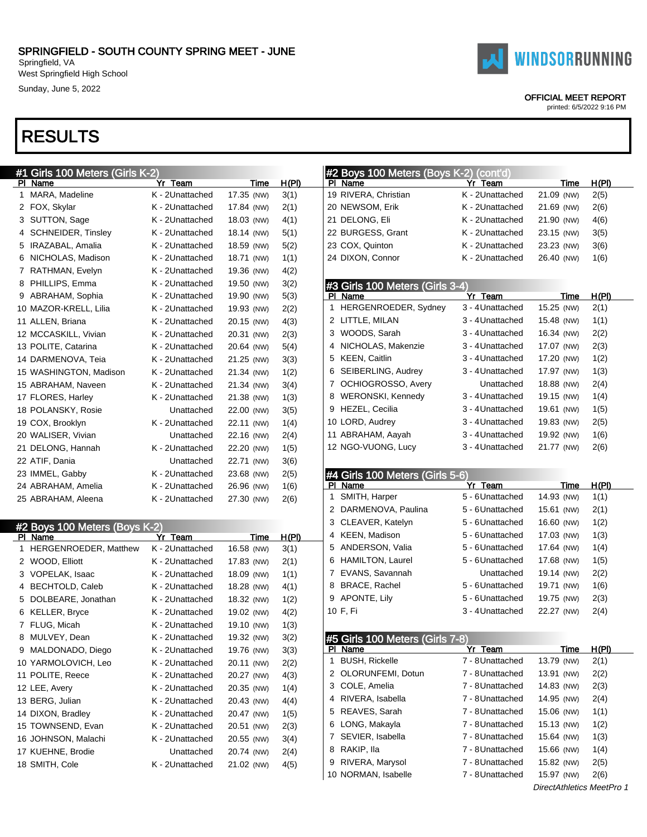West Springfield High School Sunday, June 5, 2022

### RESULTS

|    | #1 Girls 100 Meters (Girls K-2) |                 |             |              |
|----|---------------------------------|-----------------|-------------|--------------|
| PI | Name                            | Yr Team         | <b>Time</b> | <u>H(PI)</u> |
| 1  | MARA, Madeline                  | K - 2Unattached | 17.35 (NW)  | 3(1)         |
| 2  | FOX, Skylar                     | K - 2Unattached | 17.84 (NW)  | 2(1)         |
| 3  | SUTTON, Sage                    | K - 2Unattached | 18.03 (NW)  | 4(1)         |
| 4  | <b>SCHNEIDER, Tinsley</b>       | K - 2Unattached | 18.14 (NW)  | 5(1)         |
| 5  | IRAZABAL, Amalia                | K - 2Unattached | 18.59 (NW)  | 5(2)         |
| 6  | NICHOLAS, Madison               | K - 2Unattached | 18.71 (NW)  | 1(1)         |
| 7  | RATHMAN, Evelyn                 | K - 2Unattached | 19.36 (NW)  | 4(2)         |
| 8  | PHILLIPS, Emma                  | K - 2Unattached | 19.50 (NW)  | 3(2)         |
| 9  | ABRAHAM, Sophia                 | K - 2Unattached | 19.90 (NW)  | 5(3)         |
|    | 10 MAZOR-KRELL, Lilia           | K - 2Unattached | 19.93 (NW)  | 2(2)         |
|    | 11 ALLEN, Briana                | K - 2Unattached | 20.15 (NW)  | 4(3)         |
|    | 12 MCCASKILL, Vivian            | K - 2Unattached | 20.31 (NW)  | 2(3)         |
|    | 13 POLITE, Catarina             | K - 2Unattached | 20.64 (NW)  | 5(4)         |
|    | 14 DARMENOVA, Teia              | K - 2Unattached | 21.25 (NW)  | 3(3)         |
|    | 15 WASHINGTON, Madison          | K - 2Unattached | 21.34 (NW)  | 1(2)         |
|    | 15 ABRAHAM, Naveen              | K - 2Unattached | 21.34 (NW)  | 3(4)         |
|    | 17 FLORES, Harley               | K - 2Unattached | 21.38 (NW)  | 1(3)         |
|    | 18 POLANSKY, Rosie              | Unattached      | 22.00 (NW)  | 3(5)         |
|    | 19 COX, Brooklyn                | K - 2Unattached | 22.11 (NW)  | 1(4)         |
|    | 20 WALISER, Vivian              | Unattached      | 22.16 (NW)  | 2(4)         |
|    | 21 DELONG, Hannah               | K - 2Unattached | 22.20 (NW)  | 1(5)         |
|    | 22 ATIF, Dania                  | Unattached      | 22.71 (NW)  | 3(6)         |
|    | 23 IMMEL, Gabby                 | K - 2Unattached | 23.68 (NW)  | 2(5)         |
|    | 24 ABRAHAM, Amelia              | K - 2Unattached | 26.96 (NW)  | 1(6)         |
|    | 25 ABRAHAM, Aleena              | K - 2Unattached | 27.30 (NW)  | 2(6)         |

|    | #2 Boys 100 Meters (Boys K-2) |                 |            |       |
|----|-------------------------------|-----------------|------------|-------|
| ΡI | Name                          | Yr Team         | Time       | H(PI) |
| 1  | <b>HERGENROEDER, Matthew</b>  | K - 2Unattached | 16.58 (NW) | 3(1)  |
| 2  | WOOD, Elliott                 | K - 2Unattached | 17.83 (NW) | 2(1)  |
| 3  | VOPELAK, Isaac                | K - 2Unattached | 18.09 (NW) | 1(1)  |
| 4  | BECHTOLD, Caleb               | K - 2Unattached | 18.28 (NW) | 4(1)  |
| 5  | DOLBEARE, Jonathan            | K - 2Unattached | 18.32 (NW) | 1(2)  |
| 6  | <b>KELLER, Bryce</b>          | K - 2Unattached | 19.02 (NW) | 4(2)  |
| 7  | FLUG, Micah                   | K - 2Unattached | 19.10 (NW) | 1(3)  |
| 8  | MULVEY, Dean                  | K - 2Unattached | 19.32 (NW) | 3(2)  |
| 9  | MALDONADO, Diego              | K - 2Unattached | 19.76 (NW) | 3(3)  |
|    | 10 YARMOLOVICH, Leo           | K - 2Unattached | 20.11 (NW) | 2(2)  |
|    | 11 POLITE, Reece              | K - 2Unattached | 20.27 (NW) | 4(3)  |
|    | 12 LEE, Avery                 | K - 2Unattached | 20.35 (NW) | 1(4)  |
|    | 13 BERG, Julian               | K - 2Unattached | 20.43 (NW) | 4(4)  |
|    | 14 DIXON, Bradley             | K - 2Unattached | 20.47 (NW) | 1(5)  |
|    | 15 TOWNSEND, Evan             | K - 2Unattached | 20.51 (NW) | 2(3)  |
|    | 16 JOHNSON, Malachi           | K - 2Unattached | 20.55 (NW) | 3(4)  |
|    | 17 KUEHNE, Brodie             | Unattached      | 20.74 (NW) | 2(4)  |
|    | 18 SMITH, Cole                | K - 2Unattached | 21.02 (NW) | 4(5)  |

#### #2 Boys 100 Meters (Boys K-2) (cont'd) PI Name **Yr** Team Time H(PI) RIVERA, Christian K - 2Unattached 21.09 (NW) 2(5) NEWSOM, Erik K - 2Unattached 21.69 (NW) 2(6) DELONG, Eli K - 2Unattached 21.90 (NW) 4(6) BURGESS, Grant K - 2Unattached 23.15 (NW) 3(5) 23 COX, Quinton **K** - 2Unattached 23.23 (NW) 3(6) 24 DIXON, Connor K - 2Unattached 26.40 (NW) 1(6) #3 Girls 100 Meters (Girls 3-4) PI Name **Yr Team** Time H(PI) HERGENROEDER, Sydney 3 - 4Unattached 15.25 (NW) 2(1) LITTLE, MILAN 3 - 4Unattached 15.48 (NW) 1(1) WOODS, Sarah 3 - 4Unattached 16.34 (NW) 2(2) NICHOLAS, Makenzie 3 - 4Unattached 17.07 (NW) 2(3) KEEN, Caitlin 3 - 4Unattached 17.20 (NW) 1(2) SEIBERLING, Audrey 3 - 4Unattached 17.97 (NW) 1(3) OCHIOGROSSO, Avery Unattached 18.88 (NW) 2(4) WERONSKI, Kennedy 3 - 4Unattached 19.15 (NW) 1(4) HEZEL, Cecilia 3 - 4Unattached 19.61 (NW) 1(5) LORD, Audrey 3 - 4Unattached 19.83 (NW) 2(5) ABRAHAM, Aayah 3 - 4Unattached 19.92 (NW) 1(6) NGO-VUONG, Lucy 3 - 4Unattached 21.77 (NW) 2(6) #4 Girls 100 Meters (Girls 5-PI Name **Yr Team** Time H(PI) SMITH, Harper 5 - 6Unattached 14.93 (NW) 1(1) DARMENOVA, Paulina 5 - 6Unattached 15.61 (NW) 2(1) CLEAVER, Katelyn 5 - 6Unattached 16.60 (NW) 1(2) KEEN, Madison 5 - 6Unattached 17.03 (NW) 1(3) ANDERSON, Valia 5 - 6Unattached 17.64 (NW) 1(4) HAMILTON, Laurel 5 - 6Unattached 17.68 (NW) 1(5) EVANS, Savannah Unattached 19.14 (NW) 2(2) BRACE, Rachel 5 - 6Unattached 19.71 (NW) 1(6) APONTE, Lily 5 - 6Unattached 19.75 (NW) 2(3) F, Fi 3 - 4Unattached 22.27 (NW) 2(4) #5 Girls 100 Meters (Girls 7-8) Yr Team Time H(PI) BUSH, Rickelle 7 - 8Unattached 13.79 (NW) 2(1) OLORUNFEMI, Dotun 7 - 8Unattached 13.91 (NW) 2(2) COLE, Amelia 7 - 8Unattached 14.83 (NW) 2(3) RIVERA, Isabella 7 - 8Unattached 14.95 (NW) 2(4) REAVES, Sarah 7 - 8Unattached 15.06 (NW) 1(1) LONG, Makayla 7 - 8Unattached 15.13 (NW) 1(2) SEVIER, Isabella 7 - 8Unattached 15.64 (NW) 1(3) RAKIP, Ila 7 - 8Unattached 15.66 (NW) 1(4) RIVERA, Marysol 7 - 8Unattached 15.82 (NW) 2(5) NORMAN, Isabelle 7 - 8Unattached 15.97 (NW) 2(6) DirectAthletics MeetPro 1



#### OFFICIAL MEET REPORT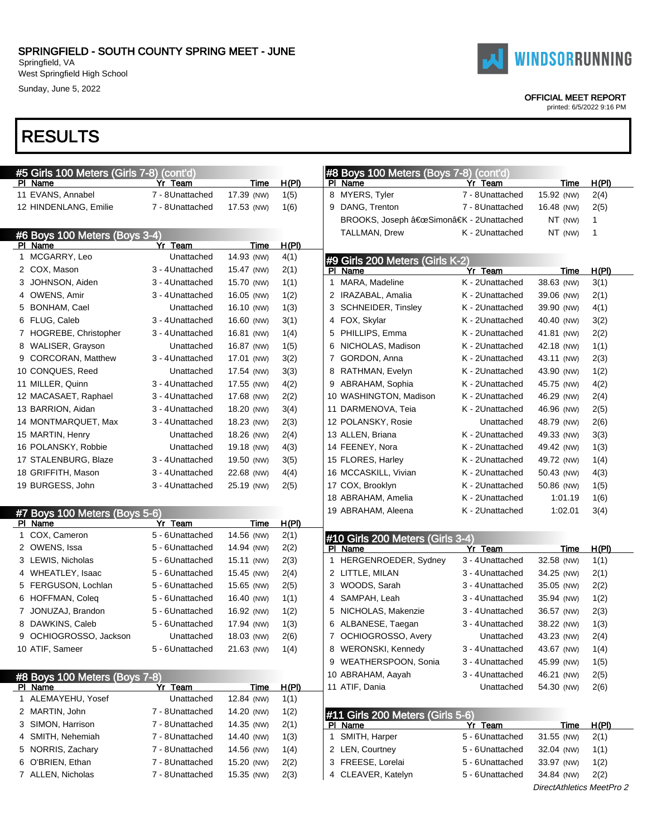Sunday, June 5, 2022

## RESULTS

| #5 Girls 100 Meters (Girls 7-8) (cont'd) |                  |            |       | #8 Boys 100 Meters (Boys 7-8) (cont'd) |                  |                           |              |
|------------------------------------------|------------------|------------|-------|----------------------------------------|------------------|---------------------------|--------------|
| PI Name                                  | Yr Team          | Time       | H(PI) | PI Name                                | Yr Team          | Time                      | H(PI)        |
| 11 EVANS, Annabel                        | 7 - 8Unattached  | 17.39 (NW) | 1(5)  | 8 MYERS, Tyler                         | 7 - 8Unattached  | 15.92 (NW)                | 2(4)         |
| 12 HINDENLANG, Emilie                    | 7 - 8Unattached  | 17.53 (NW) | 1(6)  | 9 DANG, Trenton                        | 7 - 8 Unattached | 16.48 (NW)                | 2(5)         |
|                                          |                  |            |       | BROOKS, Joseph "Simonâ€K - 2Unattached |                  | NT (NW)                   | 1            |
| #6 Boys 100 Meters (Boys 3-4)            |                  |            |       | TALLMAN, Drew                          | K - 2Unattached  | $NT$ (NW)                 | 1            |
| PI Name                                  | Yr Team          | Time       | H(PI) |                                        |                  |                           |              |
| 1 MCGARRY, Leo                           | Unattached       | 14.93 (NW) | 4(1)  | #9 Girls 200 Meters (Girls K-2)        |                  |                           |              |
| 2 COX, Mason                             | 3 - 4 Unattached | 15.47 (NW) | 2(1)  | PI Name                                | Yr Team          | Time                      | <u>H(PI)</u> |
| 3 JOHNSON, Aiden                         | 3 - 4 Unattached | 15.70 (NW) | 1(1)  | 1 MARA, Madeline                       | K - 2Unattached  | 38.63 (NW)                | 3(1)         |
| 4 OWENS, Amir                            | 3 - 4 Unattached | 16.05 (NW) | 1(2)  | 2 IRAZABAL, Amalia                     | K - 2Unattached  | 39.06 (NW)                | 2(1)         |
| 5 BONHAM, Cael                           | Unattached       | 16.10 (NW) | 1(3)  | 3 SCHNEIDER, Tinsley                   | K - 2Unattached  | 39.90 (NW)                | 4(1)         |
| 6 FLUG, Caleb                            | 3 - 4 Unattached | 16.60 (NW) | 3(1)  | 4 FOX, Skylar                          | K - 2Unattached  | 40.40 (NW)                | 3(2)         |
| 7 HOGREBE, Christopher                   | 3 - 4 Unattached | 16.81 (NW) | 1(4)  | 5 PHILLIPS, Emma                       | K - 2Unattached  | 41.81 (NW)                | 2(2)         |
| 8 WALISER, Grayson                       | Unattached       | 16.87 (NW) | 1(5)  | 6 NICHOLAS, Madison                    | K - 2Unattached  | 42.18 (NW)                | 1(1)         |
| 9 CORCORAN, Matthew                      | 3 - 4 Unattached | 17.01 (NW) | 3(2)  | 7 GORDON, Anna                         | K - 2Unattached  | 43.11 (NW)                | 2(3)         |
| 10 CONQUES, Reed                         | Unattached       | 17.54 (NW) | 3(3)  | 8 RATHMAN, Evelyn                      | K - 2Unattached  | 43.90 (NW)                | 1(2)         |
| 11 MILLER, Quinn                         | 3 - 4 Unattached | 17.55 (NW) | 4(2)  | 9 ABRAHAM, Sophia                      | K - 2Unattached  | 45.75 (NW)                | 4(2)         |
| 12 MACASAET, Raphael                     | 3 - 4Unattached  | 17.68 (NW) | 2(2)  | 10 WASHINGTON, Madison                 | K - 2Unattached  | 46.29 (NW)                | 2(4)         |
| 13 BARRION, Aidan                        | 3 - 4Unattached  | 18.20 (NW) | 3(4)  | 11 DARMENOVA, Teia                     | K - 2Unattached  | 46.96 (NW)                | 2(5)         |
| 14 MONTMARQUET, Max                      | 3 - 4 Unattached | 18.23 (NW) | 2(3)  | 12 POLANSKY, Rosie                     | Unattached       | 48.79 (NW)                | 2(6)         |
| 15 MARTIN, Henry                         | Unattached       | 18.26 (NW) | 2(4)  | 13 ALLEN, Briana                       | K - 2Unattached  | 49.33 (NW)                | 3(3)         |
| 16 POLANSKY, Robbie                      | Unattached       | 19.18 (NW) | 4(3)  | 14 FEENEY, Nora                        | K - 2Unattached  | 49.42 (NW)                | 1(3)         |
| 17 STALENBURG, Blaze                     | 3 - 4 Unattached | 19.50 (NW) | 3(5)  | 15 FLORES, Harley                      | K - 2Unattached  | 49.72 (NW)                | 1(4)         |
| 18 GRIFFITH, Mason                       | 3 - 4 Unattached | 22.68 (NW) | 4(4)  | 16 MCCASKILL, Vivian                   | K - 2Unattached  | 50.43 (NW)                | 4(3)         |
| 19 BURGESS, John                         | 3 - 4 Unattached | 25.19 (NW) | 2(5)  | 17 COX, Brooklyn                       | K - 2Unattached  | 50.86 (NW)                | 1(5)         |
|                                          |                  |            |       | 18 ABRAHAM, Amelia                     | K - 2Unattached  | 1:01.19                   | 1(6)         |
| #7 Boys 100 Meters (Boys 5-6)            |                  |            |       | 19 ABRAHAM, Aleena                     | K - 2Unattached  | 1:02.01                   | 3(4)         |
| PI Name                                  | Yr Team          | Time       | H(PI) |                                        |                  |                           |              |
| 1 COX, Cameron                           | 5 - 6Unattached  | 14.56 (NW) | 2(1)  | #10 Girls 200 Meters (Girls 3-4)       |                  |                           |              |
| 2 OWENS, Issa                            | 5 - 6Unattached  | 14.94 (NW) | 2(2)  | PI Name                                | Yr Team          | Time                      | H(PI)        |
| 3 LEWIS, Nicholas                        | 5 - 6Unattached  | 15.11 (NW) | 2(3)  | 1 HERGENROEDER, Sydney                 | 3 - 4 Unattached | 32.58 (NW)                | 1(1)         |
| 4 WHEATLEY, Isaac                        | 5 - 6Unattached  | 15.45 (NW) | 2(4)  | 2 LITTLE, MILAN                        | 3 - 4 Unattached | 34.25 (NW)                | 2(1)         |
| 5 FERGUSON, Lochlan                      | 5 - 6Unattached  | 15.65 (NW) | 2(5)  | 3 WOODS, Sarah                         | 3 - 4 Unattached | 35.05 (NW)                | 2(2)         |
| 6 HOFFMAN, Coleq                         | 5 - 6Unattached  | 16.40 (NW) | 1(1)  | 4 SAMPAH, Leah                         | 3 - 4 Unattached | 35.94 (NW)                | 1(2)         |
| 7 JONUZAJ, Brandon                       | 5 - 6Unattached  | 16.92 (NW) | 1(2)  | 5 NICHOLAS, Makenzie                   | 3 - 4 Unattached | 36.57 (NW)                | 2(3)         |
| 8 DAWKINS, Caleb                         | 5 - 6Unattached  | 17.94 (NW) | 1(3)  | 6 ALBANESE, Taegan                     | 3 - 4 Unattached | 38.22 (NW)                | 1(3)         |
| 9 OCHIOGROSSO, Jackson                   | Unattached       | 18.03 (NW) | 2(6)  | 7 OCHIOGROSSO, Avery                   | Unattached       | 43.23 (NW)                | 2(4)         |
| 10 ATIF, Sameer                          | 5 - 6Unattached  | 21.63 (NW) | 1(4)  | 8 WERONSKI, Kennedy                    | 3 - 4 Unattached | 43.67 (NW)                | 1(4)         |
|                                          |                  |            |       | 9 WEATHERSPOON, Sonia                  | 3 - 4 Unattached | 45.99 (NW)                | 1(5)         |
| #8 Boys 100 Meters (Boys 7-8)            |                  |            |       | 10 ABRAHAM, Aayah                      | 3 - 4 Unattached | 46.21 (NW)                | 2(5)         |
| PI Name                                  | Yr Team          | Time       | H(PI) | 11 ATIF, Dania                         | Unattached       | 54.30 (NW)                | 2(6)         |
| 1 ALEMAYEHU, Yosef                       | Unattached       | 12.84 (NW) | 1(1)  |                                        |                  |                           |              |
| 2 MARTIN, John                           | 7 - 8Unattached  | 14.20 (NW) | 1(2)  | #11 Girls 200 Meters (Girls 5-6)       |                  |                           |              |
| 3 SIMON, Harrison                        | 7 - 8Unattached  | 14.35 (NW) | 2(1)  | PI Name                                | Yr Team          | <u>Time</u>               | <u>H(PI)</u> |
| 4 SMITH, Nehemiah                        | 7 - 8Unattached  | 14.40 (NW) | 1(3)  | 1 SMITH, Harper                        | 5 - 6Unattached  | 31.55 (NW)                | 2(1)         |
| 5 NORRIS, Zachary                        | 7 - 8Unattached  | 14.56 (NW) | 1(4)  | 2 LEN, Courtney                        | 5 - 6 Unattached | 32.04 (NW)                | 1(1)         |
| 6 O'BRIEN, Ethan                         | 7 - 8Unattached  | 15.20 (NW) | 2(2)  | 3 FREESE, Lorelai                      | 5 - 6Unattached  | 33.97 (NW)                | 1(2)         |
| 7 ALLEN, Nicholas                        | 7 - 8Unattached  | 15.35 (NW) | 2(3)  | 4 CLEAVER, Katelyn                     | 5 - 6Unattached  | 34.84 (NW)                | 2(2)         |
|                                          |                  |            |       |                                        |                  | DirectAthletics MeetPro 2 |              |



OFFICIAL MEET REPORT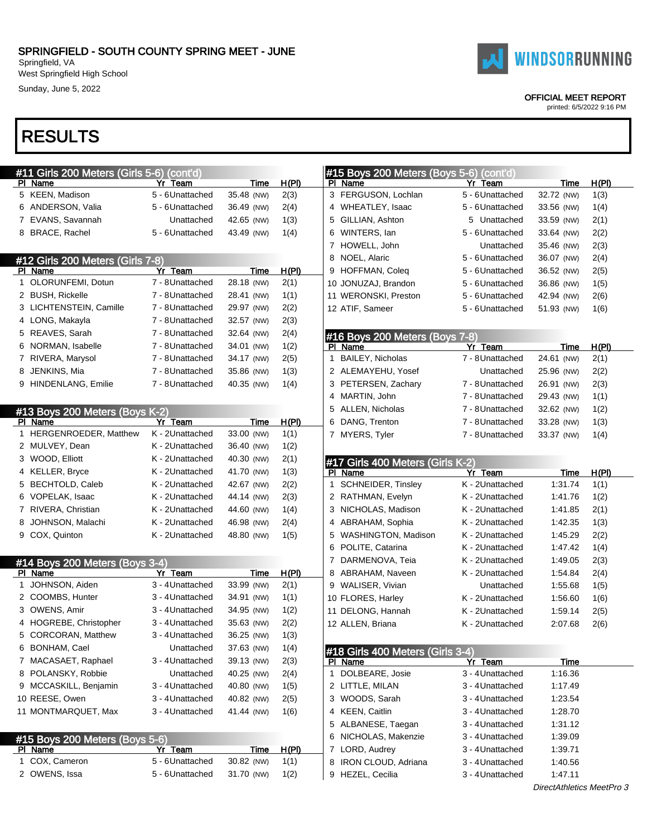Sunday, June 5, 2022

### RESULTS

|    | #11 Girls 200 Meters (Girls 5-6) (cont'd) |                            |                           |                      |  |  |  |  |  |
|----|-------------------------------------------|----------------------------|---------------------------|----------------------|--|--|--|--|--|
|    | PI Name                                   | Yr T <u>eam</u>            | <u>Time</u>               | <u>H(PI)</u>         |  |  |  |  |  |
|    | 5 KEEN, Madison                           | 5 - 6Unattached            | 35.48 (NW)                | 2(3)                 |  |  |  |  |  |
|    | 6 ANDERSON, Valia                         | 5 - 6Unattached            | 36.49 (NW)                | 2(4)                 |  |  |  |  |  |
| 7  | EVANS, Savannah                           | Unattached                 | 42.65 (NW)                | 1(3)                 |  |  |  |  |  |
| 8  | <b>BRACE, Rachel</b>                      | 5 - 6Unattached            | 43.49 (NW)                | 1(4)                 |  |  |  |  |  |
|    |                                           |                            |                           |                      |  |  |  |  |  |
|    | #12 Girls 200 Meters (Girls 7-8)          |                            |                           |                      |  |  |  |  |  |
|    | PI Name                                   | Yr Team                    | <u>Time</u>               | <u>H(PI)</u>         |  |  |  |  |  |
| 1  | OLORUNFEMI, Dotun                         | 7 - 8Unattached            | 28.18 (NW)                | 2(1)                 |  |  |  |  |  |
| 2  | <b>BUSH, Rickelle</b>                     | 7 - 8Unattached            | 28.41 (NW)                | 1(1)                 |  |  |  |  |  |
| 3  | LICHTENSTEIN, Camille                     | 7 - 8Unattached            | 29.97 (NW)                | 2(2)                 |  |  |  |  |  |
|    | 4 LONG, Makayla                           | 7 - 8Unattached            | 32.57 (NW)                | 2(3)                 |  |  |  |  |  |
| 5  | REAVES, Sarah                             | 7 - 8Unattached            | 32.64 (NW)                | 2(4)                 |  |  |  |  |  |
| 6  | NORMAN, Isabelle                          | 7 - 8Unattached            | 34.01 (NW)                | 1(2)                 |  |  |  |  |  |
| 7  | RIVERA, Marysol                           | 7 - 8Unattached            | 34.17 (NW)                | 2(5)                 |  |  |  |  |  |
| 8  | JENKINS, Mia                              | 7 - 8Unattached            | 35.86 (NW)                | 1(3)                 |  |  |  |  |  |
| 9  | HINDENLANG, Emilie                        | 7 - 8Unattached            | 40.35 (NW)                | 1(4)                 |  |  |  |  |  |
|    |                                           |                            |                           |                      |  |  |  |  |  |
|    | #13 Boys 200 Meters (Boys K-2)            |                            |                           |                      |  |  |  |  |  |
|    | PI Name                                   | Yr Team                    | Time                      | H(PI)                |  |  |  |  |  |
| 1  | HERGENROEDER, Matthew                     | K - 2Unattached            | 33.00 (NW)                | 1(1)                 |  |  |  |  |  |
| 2  | MULVEY, Dean                              | K - 2Unattached            | 36.40 (NW)                | 1(2)                 |  |  |  |  |  |
| 3  | WOOD, Elliott                             | K - 2Unattached            | 40.30 (NW)                | 2(1)                 |  |  |  |  |  |
|    | 4 KELLER, Bryce                           | K - 2Unattached            | 41.70 (NW)                | 1(3)                 |  |  |  |  |  |
| 5  | BECHTOLD, Caleb                           | K - 2Unattached            | 42.67 (NW)                | 2(2)                 |  |  |  |  |  |
| 6  | VOPELAK, Isaac                            | K - 2Unattached            | 44.14 (NW)                | 2(3)                 |  |  |  |  |  |
|    | 7 RIVERA, Christian                       | K - 2Unattached            | 44.60 (NW)                | 1(4)                 |  |  |  |  |  |
| 8  | JOHNSON, Malachi                          | K - 2Unattached            | 46.98 (NW)                | 2(4)                 |  |  |  |  |  |
|    | 9 COX, Quinton                            | K - 2Unattached            | 48.80 (NW)                | 1(5)                 |  |  |  |  |  |
|    |                                           |                            |                           |                      |  |  |  |  |  |
|    | #14 Boys 200 Meters (Boys 3-4)            |                            |                           |                      |  |  |  |  |  |
|    | PI Name                                   | Yr Team                    | Time                      | <u>H(PI)</u>         |  |  |  |  |  |
| 1  | JOHNSON, Aiden                            | 3 - 4Unattached            | 33.99 (NW)                | 2(1)                 |  |  |  |  |  |
|    | 2 COOMBS, Hunter                          | 3 - 4 Unattached           | 34.91 (NW)                | 1(1)                 |  |  |  |  |  |
|    | 3 OWENS, Amir                             | 3 - 4Unattached            | 34.95 (NW)                | 1(2)                 |  |  |  |  |  |
| 4  | HOGREBE, Christopher                      | 3 - 4 Unattached           | 35.63 (NW)                | 2(2)                 |  |  |  |  |  |
|    | 5 CORCORAN, Matthew                       | 3 - 4Unattached            | 36.25 (NW)                | 1(3)                 |  |  |  |  |  |
|    | 6 BONHAM, Cael                            | Unattached                 | 37.63 (NW)                | 1(4)                 |  |  |  |  |  |
| 7  | MACASAET, Raphael                         | 3 - 4Unattached            | 39.13 (NW)                | 2(3)                 |  |  |  |  |  |
| 8  | POLANSKY, Robbie                          | Unattached                 | 40.25 (NW)                | 2(4)                 |  |  |  |  |  |
| 9  | MCCASKILL, Benjamin                       | 3 - 4Unattached            | 40.80 (NW)                | 1(5)                 |  |  |  |  |  |
|    | 10 REESE, Owen                            | 3 - 4Unattached            | 40.82 (NW)                | 2(5)                 |  |  |  |  |  |
|    | 11 MONTMARQUET, Max                       | 3 - 4Unattached            | 41.44 (NW)                | 1(6)                 |  |  |  |  |  |
|    |                                           |                            |                           |                      |  |  |  |  |  |
|    |                                           |                            |                           |                      |  |  |  |  |  |
| PI | #15 Boys 200 Meters (Boys 5-6)            |                            |                           |                      |  |  |  |  |  |
| 1  | <b>Name</b><br>COX, Cameron               | Yr Team<br>5 - 6Unattached | <u>Time</u><br>30.82 (NW) | <u>H(PI)</u><br>1(1) |  |  |  |  |  |
| 2  | OWENS, Issa                               | 5 - 6Unattached            | 31.70 (NW)                | 1(2)                 |  |  |  |  |  |
|    |                                           |                            |                           |                      |  |  |  |  |  |

# **WINDSORRUNNING**

#### OFFICIAL MEET REPORT

| #15 Boys 200 Meters (Boys 5-6) (cont'd)     |                            |             |              |
|---------------------------------------------|----------------------------|-------------|--------------|
| PI Name                                     | Yr Team                    | <b>Time</b> | <u>H(PI)</u> |
| 3 FERGUSON, Lochlan                         | 5 - 6Unattached            | 32.72 (NW)  | 1(3)         |
| 4 WHEATLEY, Isaac                           | 5 - 6Unattached            | 33.56 (NW)  | 1(4)         |
| 5 GILLIAN, Ashton                           | 5 Unattached               | 33.59 (NW)  | 2(1)         |
| 6 WINTERS, Ian                              | 5 - 6Unattached            | 33.64 (NW)  | 2(2)         |
| 7 HOWELL, John                              | Unattached                 | 35.46 (NW)  | 2(3)         |
| NOEL, Alaric<br>8                           | 5 - 6Unattached            | 36.07 (NW)  | 2(4)         |
| 9 HOFFMAN, Coleq                            | 5 - 6 Unattached           | 36.52 (NW)  | 2(5)         |
| 10 JONUZAJ, Brandon                         | 5 - 6 Unattached           | 36.86 (NW)  | 1(5)         |
| 11 WERONSKI, Preston                        | 5 - 6 Unattached           | 42.94 (NW)  | 2(6)         |
| 12 ATIF, Sameer                             | 5 - 6Unattached            | 51.93 (NW)  | 1(6)         |
| #16 Boys 200 Meters (Boys 7-8)              |                            |             |              |
| PI Name                                     | Yr Team                    | Time        | H(PI)        |
| 1 BAILEY, Nicholas                          | 7 - 8 Unattached           | 24.61 (NW)  | 2(1)         |
| 2 ALEMAYEHU, Yosef                          | Unattached                 | 25.96 (NW)  | 2(2)         |
| 3 PETERSEN, Zachary                         | 7 - 8Unattached            | 26.91 (NW)  | 2(3)         |
| 4 MARTIN, John                              | 7 - 8 Unattached           | 29.43 (NW)  | 1(1)         |
| 5 ALLEN, Nicholas                           | 7 - 8Unattached            | 32.62 (NW)  | 1(2)         |
| 6 DANG, Trenton                             | 7 - 8Unattached            | 33.28 (NW)  | 1(3)         |
| 7 MYERS, Tyler                              | 7 - 8 Unattached           | 33.37 (NW)  | 1(4)         |
| #17 Girls 400 Meters (Girls K-2)            |                            |             |              |
| PI Name                                     | Yr Team<br>K - 2Unattached | Time        | H(PI)        |
| SCHNEIDER, Tinsley<br>1.                    | K - 2Unattached            | 1:31.74     | 1(1)         |
| 2 RATHMAN, Evelyn                           |                            | 1:41.76     | 1(2)         |
| 3 NICHOLAS, Madison                         | K - 2Unattached            | 1:41.85     | 2(1)         |
| 4 ABRAHAM, Sophia                           | K - 2Unattached            | 1:42.35     | 1(3)         |
| 5 WASHINGTON, Madison                       | K - 2Unattached            | 1:45.29     | 2(2)         |
| 6 POLITE, Catarina                          | K - 2Unattached            | 1:47.42     | 1(4)         |
| 7 DARMENOVA, Teia                           | K - 2Unattached            | 1:49.05     | 2(3)         |
| 8 ABRAHAM, Naveen                           | K - 2Unattached            | 1:54.84     | 2(4)         |
| 9 WALISER, Vivian                           | Unattached                 | 1:55.68     | 1(5)         |
| 10 FLORES, Harley                           | K - 2Unattached            | 1:56.60     | 1(6)         |
| 11 DELONG, Hannah                           | K - 2Unattached            | 1:59.14     | 2(5)         |
| 12 ALLEN, Briana                            | K - 2Unattached            | 2:07.68     | 2(6)         |
| #18 Girls 400 Meters (Girls 3-4)<br>PI Name | Yr Team                    | Time        |              |
| DOLBEARE, Josie<br>1                        | 3 - 4 Unattached           | 1:16.36     |              |
| LITTLE, MILAN<br>2                          | 3 - 4 Unattached           | 1:17.49     |              |
| 3 WOODS, Sarah                              | 3 - 4 Unattached           | 1:23.54     |              |
| 4 KEEN, Caitlin                             | 3 - 4 Unattached           | 1:28.70     |              |
|                                             |                            |             |              |
| 5 ALBANESE, Taegan                          | 3 - 4 Unattached           | 1:31.12     |              |
| NICHOLAS, Makenzie<br>6                     | 3 - 4 Unattached           | 1:39.09     |              |
| LORD, Audrey<br>7                           | 3 - 4 Unattached           | 1:39.71     |              |
| IRON CLOUD, Adriana<br>8                    | 3 - 4 Unattached           | 1:40.56     |              |
| HEZEL, Cecilia<br>9                         | 3 - 4 Unattached           | 1:47.11     |              |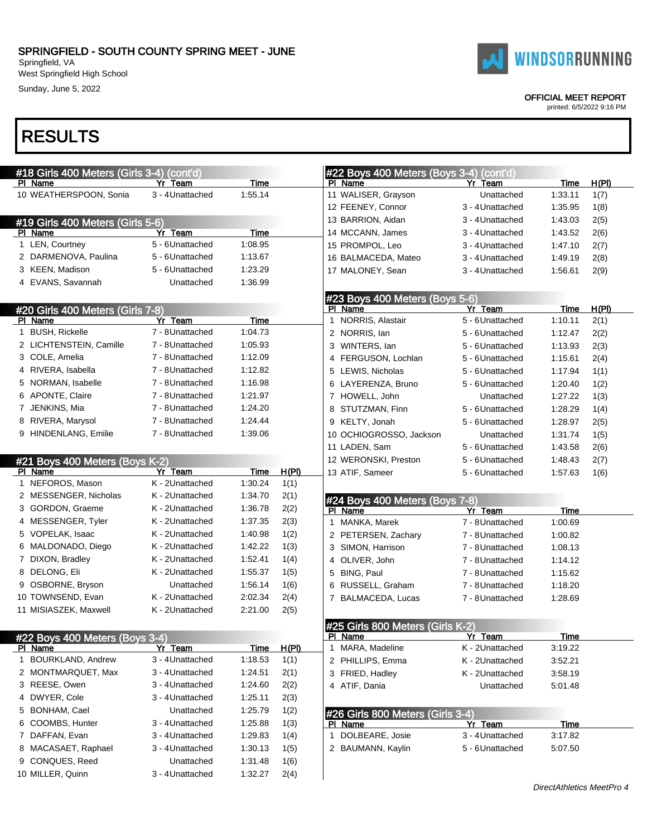West Springfield High School Sunday, June 5, 2022

# RESULTS

| PI Name                 | #18 Girls 400 Meters (Girls 3-4) (cont'd) | Yr Team          | Time        |              | PL | #22 Boys 400 Meters (Boys 3-4) (cont'd)<br>Name | Yr Team          | Time            | H(PI)         |
|-------------------------|-------------------------------------------|------------------|-------------|--------------|----|-------------------------------------------------|------------------|-----------------|---------------|
|                         | 10 WEATHERSPOON, Sonia                    | 3 - 4 Unattached | 1:55.14     |              |    | 11 WALISER, Grayson                             | Unattached       | 1:33.11         | 1(7)          |
|                         |                                           |                  |             |              |    | 12 FEENEY, Connor                               | 3 - 4 Unattached | 1:35.95         | 1(8)          |
|                         |                                           |                  |             |              |    | 13 BARRION, Aidan                               | 3 - 4 Unattached | 1:43.03         | 2(5)          |
| PI Name                 | #19 Girls 400 Meters (Girls 5-6)          | Yr Team          | Time        |              |    | 14 MCCANN, James                                | 3 - 4 Unattached | 1:43.52         | 2(6)          |
| 1 LEN, Courtney         |                                           | 5 - 6Unattached  | 1:08.95     |              |    | 15 PROMPOL, Leo                                 | 3 - 4 Unattached | 1:47.10         | 2(7)          |
| 2 DARMENOVA, Paulina    |                                           | 5 - 6Unattached  | 1:13.67     |              |    | 16 BALMACEDA, Mateo                             | 3 - 4 Unattached | 1:49.19         | 2(8)          |
| 3 KEEN, Madison         |                                           | 5 - 6Unattached  | 1:23.29     |              |    | 17 MALONEY, Sean                                | 3 - 4 Unattached | 1:56.61         |               |
| 4 EVANS, Savannah       |                                           | Unattached       | 1:36.99     |              |    |                                                 |                  |                 | 2(9)          |
|                         |                                           |                  |             |              |    |                                                 |                  |                 |               |
|                         |                                           |                  |             |              |    | #23 Boys 400 Meters (Boys 5-6)                  | Yr Team          |                 |               |
| PI Name                 | <u>#20 Girls 400 Meters (Girls 7-8)</u>   | Yr Team          | Time        |              |    | PI Name<br>1 NORRIS, Alastair                   | 5 - 6 Unattached | Time<br>1:10.11 | H(PI)<br>2(1) |
| 1 BUSH, Rickelle        |                                           | 7 - 8Unattached  | 1:04.73     |              |    | 2 NORRIS, lan                                   | 5 - 6Unattached  | 1:12.47         | 2(2)          |
| 2 LICHTENSTEIN, Camille |                                           | 7 - 8Unattached  | 1:05.93     |              |    |                                                 |                  |                 |               |
| 3 COLE, Amelia          |                                           | 7 - 8Unattached  | 1:12.09     |              |    | 3 WINTERS, lan                                  | 5 - 6Unattached  | 1:13.93         | 2(3)          |
| 4 RIVERA, Isabella      |                                           | 7 - 8Unattached  | 1:12.82     |              |    | 4 FERGUSON, Lochlan                             | 5 - 6Unattached  | 1:15.61         | 2(4)          |
| 5 NORMAN, Isabelle      |                                           | 7 - 8Unattached  | 1:16.98     |              |    | 5 LEWIS, Nicholas                               | 5 - 6Unattached  | 1:17.94         | 1(1)          |
| 6 APONTE, Claire        |                                           | 7 - 8Unattached  | 1:21.97     |              |    | 6 LAYERENZA, Bruno                              | 5 - 6Unattached  | 1:20.40         | 1(2)          |
|                         |                                           |                  |             |              |    | 7 HOWELL, John                                  | Unattached       | 1:27.22         | 1(3)          |
| 7 JENKINS, Mia          |                                           | 7 - 8Unattached  | 1:24.20     |              |    | 8 STUTZMAN, Finn                                | 5 - 6Unattached  | 1:28.29         | 1(4)          |
| 8 RIVERA, Marysol       |                                           | 7 - 8Unattached  | 1:24.44     |              |    | 9 KELTY, Jonah                                  | 5 - 6Unattached  | 1:28.97         | 2(5)          |
| 9 HINDENLANG, Emilie    |                                           | 7 - 8Unattached  | 1:39.06     |              |    | 10 OCHIOGROSSO, Jackson                         | Unattached       | 1:31.74         | 1(5)          |
|                         |                                           |                  |             |              |    | 11 LADEN, Sam                                   | 5 - 6Unattached  | 1:43.58         | 2(6)          |
|                         | #21 Boys 400 Meters (Boys K-2)            |                  |             |              |    | 12 WERONSKI, Preston                            | 5 - 6Unattached  | 1:48.43         | 2(7)          |
| PI Name                 |                                           | Yr Team          | Time        | <u>H(PI)</u> |    | 13 ATIF, Sameer                                 | 5 - 6Unattached  | 1:57.63         | 1(6)          |
| 1 NEFOROS, Mason        |                                           | K - 2Unattached  | 1:30.24     | 1(1)         |    |                                                 |                  |                 |               |
| 2 MESSENGER, Nicholas   |                                           | K - 2Unattached  | 1:34.70     | 2(1)         |    | #24 Boys 400 Meters (Boys 7-8)                  |                  |                 |               |
| 3 GORDON, Graeme        |                                           | K - 2Unattached  | 1:36.78     | 2(2)         |    | PI Name                                         | Yr Team          | <b>Time</b>     |               |
| 4 MESSENGER, Tyler      |                                           | K - 2Unattached  | 1:37.35     | 2(3)         |    | 1 MANKA, Marek                                  | 7 - 8 Unattached | 1:00.69         |               |
| 5 VOPELAK, Isaac        |                                           | K - 2Unattached  | 1:40.98     | 1(2)         |    | 2 PETERSEN, Zachary                             | 7 - 8Unattached  | 1:00.82         |               |
| 6 MALDONADO, Diego      |                                           | K - 2Unattached  | 1:42.22     | 1(3)         |    | 3 SIMON, Harrison                               | 7 - 8Unattached  | 1:08.13         |               |
| 7 DIXON, Bradley        |                                           | K - 2Unattached  | 1.52.41     | 1(4)         |    | 4 OLIVER, John                                  | 7 - 8Unattached  | 1:14.12         |               |
| 8 DELONG, Eli           |                                           | K - 2Unattached  | 1:55.37     | 1(5)         |    | 5 BING, Paul                                    | 7 - 8Unattached  | 1:15.62         |               |
| 9 OSBORNE, Bryson       |                                           | Unattached       | 1:56.14     | 1(6)         | 6  | RUSSELL, Graham                                 | 7 - 8Unattached  | 1:18.20         |               |
| 10 TOWNSEND, Evan       |                                           | K - 2Unattached  | 2:02.34     | 2(4)         |    | 7 BALMACEDA, Lucas                              | 7 - 8Unattached  | 1:28.69         |               |
| 11 MISIASZEK, Maxwell   |                                           | K - 2Unattached  | 2:21.00     | 2(5)         |    |                                                 |                  |                 |               |
|                         |                                           |                  |             |              |    | #25 Girls 800 Meters (Girls K-2)                |                  |                 |               |
|                         | #22 Boys 400 Meters (Boys 3-4)            |                  |             |              |    | PI Name                                         | Yr Team          | <b>Time</b>     |               |
| PI Name                 |                                           | Yr Team          | <b>Time</b> | H(PI)        |    | 1 MARA, Madeline                                | K - 2Unattached  | 3:19.22         |               |
| 1 BOURKLAND, Andrew     |                                           | 3 - 4 Unattached | 1:18.53     | 1(1)         |    | 2 PHILLIPS, Emma                                | K - 2Unattached  | 3:52.21         |               |
| 2 MONTMARQUET, Max      |                                           | 3 - 4Unattached  | 1:24.51     | 2(1)         |    | 3 FRIED, Hadley                                 | K - 2Unattached  | 3:58.19         |               |
| 3 REESE, Owen           |                                           | 3 - 4Unattached  | 1:24.60     | 2(2)         |    | 4 ATIF, Dania                                   | Unattached       | 5:01.48         |               |
| 4 DWYER, Cole           |                                           | 3 - 4Unattached  | 1:25.11     | 2(3)         |    |                                                 |                  |                 |               |
| 5 BONHAM, Cael          |                                           | Unattached       | 1:25.79     | 1(2)         |    | #26 Girls 800 Meters (Girls 3-4)                |                  |                 |               |
| 6 COOMBS, Hunter        |                                           | 3 - 4Unattached  | 1:25.88     | 1(3)         |    | PI Name                                         | Yr Team          | Time            |               |
| 7 DAFFAN, Evan          |                                           | 3 - 4 Unattached | 1:29.83     | 1(4)         |    | 1 DOLBEARE, Josie                               | 3 - 4 Unattached | 3:17.82         |               |
| 8 MACASAET, Raphael     |                                           | 3 - 4Unattached  | 1:30.13     | 1(5)         |    | 2 BAUMANN, Kaylin                               | 5 - 6Unattached  | 5:07.50         |               |
| 9 CONQUES, Reed         |                                           | Unattached       | 1:31.48     | 1(6)         |    |                                                 |                  |                 |               |
| 10 MILLER, Quinn        |                                           | 3 - 4 Unattached | 1:32.27     | 2(4)         |    |                                                 |                  |                 |               |



#### OFFICIAL MEET REPORT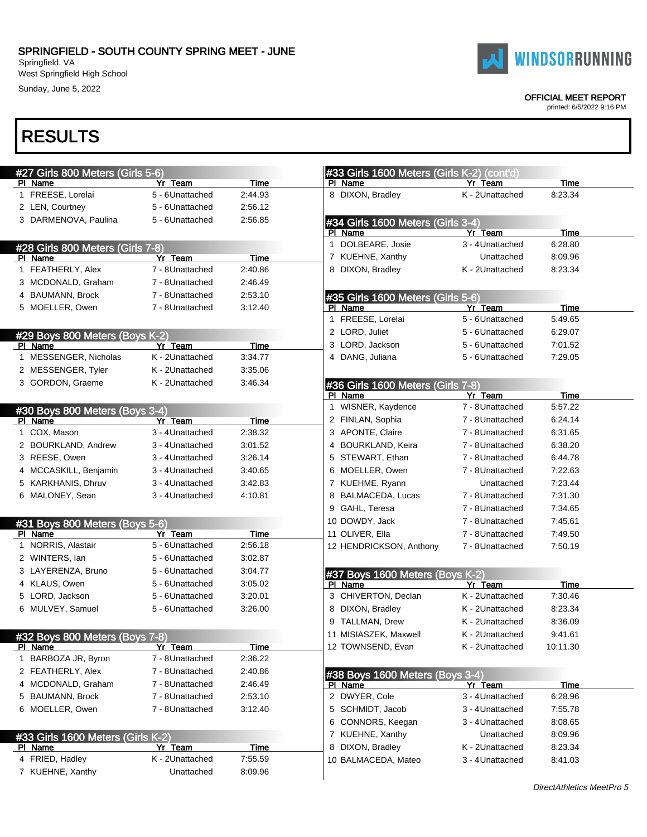West Springfield High School Sunday, June 5, 2022



OFFICIAL MEET REPORT

printed: 6/5/2022 9:16 PM

### RESULTS

| #27 Girls 800 Meters (Girls 5-6)          |                  |                 | #33 Girls 1600 Meters (Girls K-2) (cont'd) |                  |             |  |  |
|-------------------------------------------|------------------|-----------------|--------------------------------------------|------------------|-------------|--|--|
| PI Name                                   | Yr Team          | Time            | PI Name                                    | Yr Team          | Time        |  |  |
| 1 FREESE, Lorelai                         | 5 - 6Unattached  | 2:44.93         | 8 DIXON, Bradley                           | K - 2Unattached  | 8:23.34     |  |  |
| 2 LEN, Courtney                           | 5 - 6Unattached  | 2:56.12         |                                            |                  |             |  |  |
| 3 DARMENOVA, Paulina                      | 5 - 6Unattached  | 2:56.85         | #34 Girls 1600 Meters (Girls 3-4)          |                  |             |  |  |
|                                           |                  |                 | PI Name                                    | Yr Team          | Time        |  |  |
| #28 Girls 800 Meters (Girls 7-8)          |                  |                 | 1 DOLBEARE, Josie                          | 3 - 4 Unattached | 6:28.80     |  |  |
| PI Name                                   | Yr Team          | Time            | 7 KUEHNE, Xanthy                           | Unattached       | 8:09.96     |  |  |
| 1 FEATHERLY, Alex                         | 7 - 8Unattached  | 2:40.86         | 8 DIXON, Bradley                           | K - 2Unattached  | 8:23.34     |  |  |
| 3 MCDONALD, Graham                        | 7 - 8Unattached  | 2:46.49         |                                            |                  |             |  |  |
| 4 BAUMANN, Brock                          | 7 - 8Unattached  | 2:53.10         | #35 Girls 1600 Meters (Girls 5-6)          |                  |             |  |  |
| 5 MOELLER, Owen                           | 7 - 8Unattached  | 3:12.40         | PI Name                                    | Yr Team          | Time        |  |  |
|                                           |                  |                 | 1 FREESE, Lorelai                          | 5 - 6Unattached  | 5:49.65     |  |  |
| #29 Boys 800 Meters (Boys K-2)            |                  |                 | 2 LORD, Juliet                             | 5 - 6Unattached  | 6:29.07     |  |  |
| PI Name                                   | Yr Team          | Time            | 3 LORD, Jackson                            | 5 - 6Unattached  | 7:01.52     |  |  |
| 1 MESSENGER, Nicholas                     | K - 2Unattached  | 3:34.77         | 4 DANG, Juliana                            | 5 - 6Unattached  | 7:29.05     |  |  |
| 2 MESSENGER, Tyler                        | K - 2Unattached  | 3:35.06         |                                            |                  |             |  |  |
| 3 GORDON, Graeme                          | K - 2Unattached  | 3:46.34         | #36 Girls 1600 Meters (Girls 7-8)          |                  |             |  |  |
|                                           |                  |                 | PI Name                                    | Yr Team          | Time        |  |  |
| #30 Boys 800 Meters (Boys 3-4)            |                  |                 | 1 WISNER, Kaydence                         | 7 - 8 Unattached | 5:57.22     |  |  |
| PI Name                                   | Yr Team          | Time            | 2 FINLAN, Sophia                           | 7 - 8Unattached  | 6:24.14     |  |  |
| 1 COX, Mason                              | 3 - 4Unattached  | 2:38.32         | 3 APONTE, Claire                           | 7 - 8Unattached  | 6:31.65     |  |  |
| 2 BOURKLAND, Andrew                       | 3 - 4Unattached  | 3:01.52         | 4 BOURKLAND, Keira                         | 7 - 8Unattached  | 6:38.20     |  |  |
| 3 REESE, Owen                             | 3 - 4Unattached  | 3:26.14         | 5 STEWART, Ethan                           | 7 - 8Unattached  | 6:44.78     |  |  |
| 4 MCCASKILL, Benjamin                     | 3 - 4Unattached  | 3:40.65         | 6 MOELLER, Owen                            | 7 - 8Unattached  | 7:22.63     |  |  |
| 5 KARKHANIS, Dhruv                        | 3 - 4 Unattached | 3:42.83         | 7 KUEHME, Ryann                            | Unattached       | 7:23.44     |  |  |
| 6 MALONEY, Sean                           | 3 - 4Unattached  | 4:10.81         | 8 BALMACEDA, Lucas                         | 7 - 8 Unattached | 7:31.30     |  |  |
|                                           |                  |                 | 9 GAHL, Teresa                             | 7 - 8 Unattached | 7:34.65     |  |  |
|                                           |                  |                 | 10 DOWDY, Jack                             |                  | 7:45.61     |  |  |
| #31 Boys 800 Meters (Boys 5-6)<br>PI Name | Yr Team          |                 |                                            | 7 - 8Unattached  |             |  |  |
| 1 NORRIS, Alastair                        | 5 - 6Unattached  | Time<br>2:56.18 | 11 OLIVER, Ella                            | 7 - 8 Unattached | 7:49.50     |  |  |
| 2 WINTERS, lan                            | 5 - 6Unattached  | 3:02.87         | 12 HENDRICKSON, Anthony                    | 7 - 8 Unattached | 7:50.19     |  |  |
|                                           |                  |                 |                                            |                  |             |  |  |
| 3 LAYERENZA, Bruno                        | 5 - 6Unattached  | 3:04.77         | #37 Boys 1600 Meters (Boys K-2)            |                  |             |  |  |
| 4 KLAUS, Owen                             | 5 - 6Unattached  | 3:05.02         | PI Name                                    | Yr Team          | <b>Time</b> |  |  |
| 5 LORD, Jackson                           | 5 - 6Unattached  | 3:20.01         | 3 CHIVERTON, Declan                        | K - 2Unattached  | 7:30.46     |  |  |
| 6 MULVEY, Samuel                          | 5 - 6Unattached  | 3:26.00         | 8 DIXON, Bradley                           | K - 2Unattached  | 8:23.34     |  |  |
|                                           |                  |                 | 9 TALLMAN, Drew                            | K - 2Unattached  | 8:36.09     |  |  |
| #32 Boys 800 Meters (Boys 7-8)            |                  |                 | 11 MISIASZEK, Maxwell                      | K - 2Unattached  | 9:41.61     |  |  |
| PI Name                                   | Yr Team          | <u>Time</u>     | 12 TOWNSEND, Evan                          | K - 2Unattached  | 10:11.30    |  |  |
| BARBOZA JR, Byron                         | 7 - 8Unattached  | 2:36.22         |                                            |                  |             |  |  |
| 2 FEATHERLY, Alex                         | 7 - 8Unattached  | 2:40.86         | #38 Boys 1600 Meters (Boys 3-4)            |                  |             |  |  |
| 4 MCDONALD, Graham                        | 7 - 8Unattached  | 2:46.49         | PI Name                                    | Yr Team          | <u>Time</u> |  |  |
| 5 BAUMANN, Brock                          | 7 - 8Unattached  | 2:53.10         | 2 DWYER, Cole                              | 3 - 4 Unattached | 6:28.96     |  |  |
| 6 MOELLER, Owen                           | 7 - 8Unattached  | 3:12.40         | 5 SCHMIDT, Jacob                           | 3 - 4 Unattached | 7:55.78     |  |  |
|                                           |                  |                 | 6 CONNORS, Keegan                          | 3 - 4 Unattached | 8:08.65     |  |  |
| #33 Girls 1600 Meters (Girls K-2)         |                  |                 | 7 KUEHNE, Xanthy                           | Unattached       | 8:09.96     |  |  |
| PI Name                                   | Yr Team          | <b>Time</b>     | 8 DIXON, Bradley                           | K - 2Unattached  | 8:23.34     |  |  |
|                                           |                  |                 |                                            |                  |             |  |  |
| 4 FRIED, Hadley                           | K - 2Unattached  | 7:55.59         | 10 BALMACEDA, Mateo                        | 3 - 4 Unattached | 8:41.03     |  |  |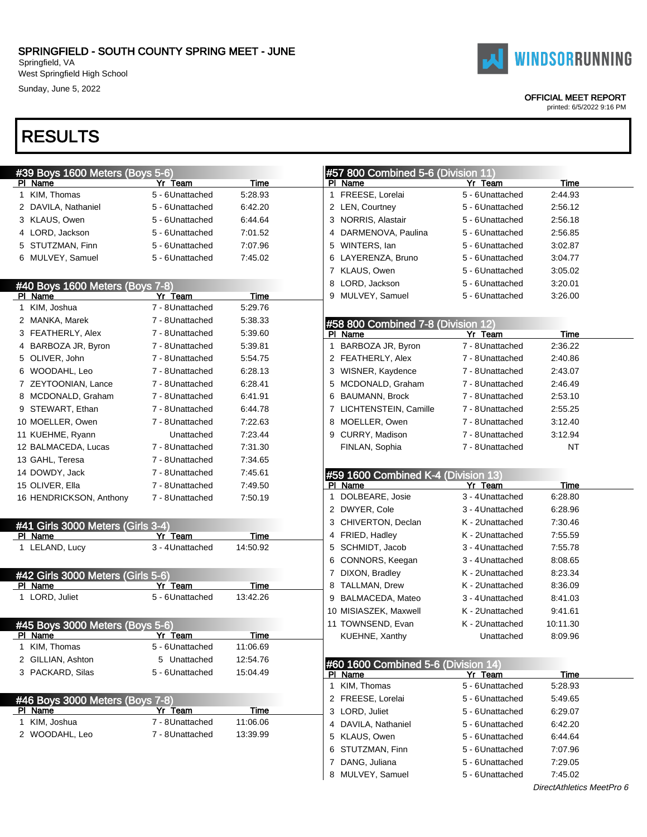West Springfield High School Sunday, June 5, 2022

## RESULTS

| #39 Boys 1600 Meters (Boys 5-6)                   |                  |             | #57 800 Combined 5-6 (Division 11)             |                  |             |
|---------------------------------------------------|------------------|-------------|------------------------------------------------|------------------|-------------|
| PI Name                                           | Yr Team          | Time        | PI Name                                        | Yr Team          | Time        |
| 1 KIM, Thomas                                     | 5 - 6Unattached  | 5:28.93     | 1 FREESE, Lorelai                              | 5 - 6Unattached  | 2:44.93     |
| 2 DAVILA, Nathaniel                               | 5 - 6Unattached  | 6:42.20     | 2 LEN, Courtney                                | 5 - 6Unattached  | 2:56.12     |
| 3 KLAUS, Owen                                     | 5 - 6Unattached  | 6:44.64     | 3 NORRIS, Alastair                             | 5 - 6Unattached  | 2:56.18     |
| 4 LORD, Jackson                                   | 5 - 6Unattached  | 7:01.52     | 4 DARMENOVA, Paulina                           | 5 - 6Unattached  | 2:56.85     |
| 5 STUTZMAN, Finn                                  | 5 - 6Unattached  | 7:07.96     | 5 WINTERS, lan                                 | 5 - 6 Unattached | 3:02.87     |
| 6 MULVEY, Samuel                                  | 5 - 6Unattached  | 7:45.02     | 6 LAYERENZA, Bruno                             | 5 - 6Unattached  | 3:04.77     |
|                                                   |                  |             | 7 KLAUS, Owen                                  | 5 - 6Unattached  | 3:05.02     |
| #40 Boys 1600 Meters (Boys 7-8)                   |                  |             | 8 LORD, Jackson                                | 5 - 6Unattached  | 3:20.01     |
| PI Name                                           | Yr Team          | Time        | 9 MULVEY, Samuel                               | 5 - 6 Unattached | 3:26.00     |
| 1 KIM, Joshua                                     | 7 - 8Unattached  | 5:29.76     |                                                |                  |             |
| 2 MANKA, Marek                                    | 7 - 8Unattached  | 5:38.33     | #58 800 Combined 7-8 (Division 12)             |                  |             |
| 3 FEATHERLY, Alex                                 | 7 - 8Unattached  | 5:39.60     | PI Name                                        | Yr Team          | Time        |
| 4 BARBOZA JR, Byron                               | 7 - 8Unattached  | 5:39.81     | 1 BARBOZA JR, Byron                            | 7 - 8 Unattached | 2:36.22     |
| 5 OLIVER, John                                    | 7 - 8Unattached  | 5:54.75     | 2 FEATHERLY, Alex                              | 7 - 8Unattached  | 2:40.86     |
| 6 WOODAHL, Leo                                    | 7 - 8Unattached  | 6:28.13     | 3 WISNER, Kaydence                             | 7 - 8 Unattached | 2:43.07     |
| 7 ZEYTOONIAN, Lance                               | 7 - 8Unattached  | 6:28.41     | 5 MCDONALD, Graham                             | 7 - 8 Unattached | 2:46.49     |
| 8 MCDONALD, Graham                                | 7 - 8Unattached  | 6:41.91     | 6 BAUMANN, Brock                               | 7 - 8Unattached  | 2:53.10     |
| 9 STEWART, Ethan                                  | 7 - 8Unattached  | 6:44.78     | 7 LICHTENSTEIN, Camille                        | 7 - 8 Unattached | 2:55.25     |
| 10 MOELLER, Owen                                  | 7 - 8Unattached  | 7:22.63     | 8 MOELLER, Owen                                | 7 - 8 Unattached | 3:12.40     |
| 11 KUEHME, Ryann                                  | Unattached       | 7:23.44     | 9 CURRY, Madison                               | 7 - 8Unattached  | 3:12.94     |
| 12 BALMACEDA, Lucas                               | 7 - 8Unattached  | 7:31.30     | FINLAN, Sophia                                 | 7 - 8 Unattached | <b>NT</b>   |
| 13 GAHL, Teresa                                   | 7 - 8Unattached  | 7:34.65     |                                                |                  |             |
| 14 DOWDY, Jack                                    | 7 - 8Unattached  | 7:45.61     |                                                |                  |             |
| 15 OLIVER, Ella                                   | 7 - 8Unattached  | 7:49.50     | #59 1600 Combined K-4 (Division 13)<br>PI Name | Yr Team          | Time        |
| 16 HENDRICKSON, Anthony                           | 7 - 8Unattached  | 7:50.19     | 1 DOLBEARE, Josie                              | 3 - 4 Unattached | 6:28.80     |
|                                                   |                  |             | 2 DWYER, Cole                                  | 3 - 4 Unattached | 6:28.96     |
|                                                   |                  |             | 3 CHIVERTON, Declan                            | K - 2Unattached  | 7:30.46     |
| #41 Girls 3000 Meters (Girls 3-4)<br>PI Name      | Yr Team          | Time        | 4 FRIED, Hadley                                | K - 2Unattached  | 7:55.59     |
| 1 LELAND, Lucy                                    | 3 - 4 Unattached | 14:50.92    | 5 SCHMIDT, Jacob                               | 3 - 4 Unattached | 7:55.78     |
|                                                   |                  |             | 6 CONNORS, Keegan                              | 3 - 4 Unattached | 8:08.65     |
|                                                   |                  |             | 7 DIXON, Bradley                               | K - 2Unattached  | 8:23.34     |
| #42 Girls 3000 Meters (Girls 5-6)<br>PI Name      | Yr Team          | <u>Time</u> | 8 TALLMAN, Drew                                | K - 2Unattached  | 8:36.09     |
| 1 LORD, Juliet                                    | 5 - 6Unattached  | 13:42.26    | 9 BALMACEDA, Mateo                             | 3 - 4 Unattached | 8:41.03     |
|                                                   |                  |             | 10 MISIASZEK, Maxwell                          | K - 2Unattached  | 9:41.61     |
|                                                   |                  |             | 11 TOWNSEND, Evan                              | K - 2Unattached  | 10:11.30    |
| #45 Boys 3000 Meters (Boys 5-6)<br><u>PI</u> Name | Yr Team          | <u>Time</u> | KUEHNE, Xanthy                                 | Unattached       | 8:09.96     |
| 1 KIM, Thomas                                     | 5 - 6Unattached  | 11:06.69    |                                                |                  |             |
| 2 GILLIAN, Ashton                                 | 5 Unattached     | 12:54.76    |                                                |                  |             |
| 3 PACKARD, Silas                                  | 5 - 6Unattached  | 15:04.49    | #60 1600 Combined 5-6 (Division 14)            |                  |             |
|                                                   |                  |             | PI Name                                        | Yr Team          | <u>Time</u> |
|                                                   |                  |             | 1 KIM, Thomas                                  | 5 - 6Unattached  | 5:28.93     |
| #46 Boys 3000 Meters (Boys 7-8)                   | Yr Team          | Time        | 2 FREESE, Lorelai                              | 5 - 6Unattached  | 5:49.65     |
| PI Name<br>1 KIM, Joshua                          | 7 - 8Unattached  | 11:06.06    | 3 LORD, Juliet                                 | 5 - 6 Unattached | 6:29.07     |
| 2 WOODAHL, Leo                                    | 7 - 8Unattached  | 13:39.99    | 4 DAVILA, Nathaniel                            | 5 - 6 Unattached | 6:42.20     |
|                                                   |                  |             | 5 KLAUS, Owen                                  | 5 - 6 Unattached | 6:44.64     |
|                                                   |                  |             | 6 STUTZMAN, Finn                               | 5 - 6 Unattached | 7:07.96     |
|                                                   |                  |             | 7 DANG, Juliana                                | 5 - 6Unattached  | 7:29.05     |
|                                                   |                  |             | 8 MULVEY, Samuel                               | 5 - 6Unattached  | 7:45.02     |
|                                                   |                  |             |                                                |                  |             |



#### OFFICIAL MEET REPORT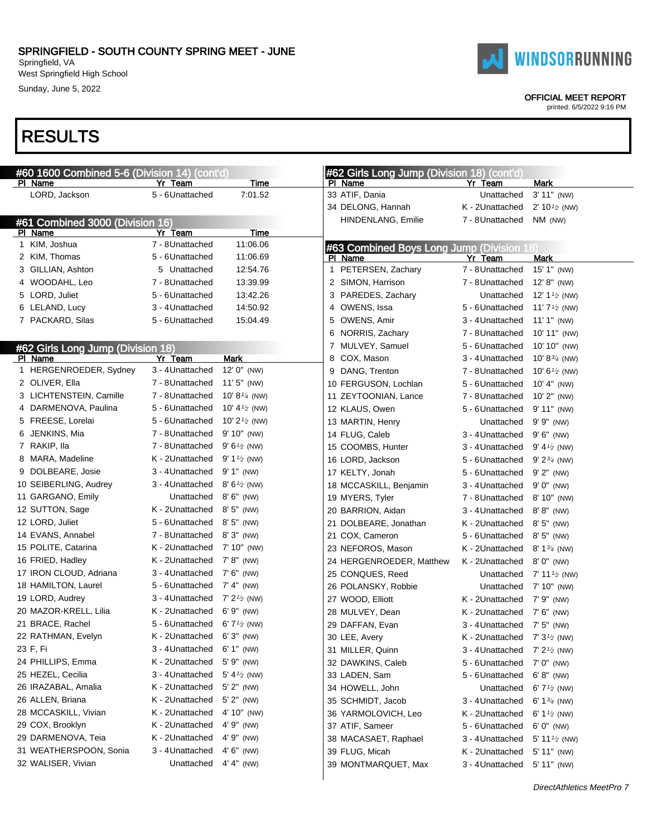West Springfield High School Sunday, June 5, 2022

### RESULTS

| #60 1600 Combined 5-6 (Division 14) (cont'd) |                  |                                       | #62 Girls Long Jump (Division 18) (cont'd) |                  |                                          |
|----------------------------------------------|------------------|---------------------------------------|--------------------------------------------|------------------|------------------------------------------|
| PI Name                                      | Yr Team          | Time                                  | PI Name                                    | Yr Team          | Mark                                     |
| LORD, Jackson                                | 5 - 6Unattached  | 7:01.52                               | 33 ATIF, Dania                             | Unattached       | 3' 11" (NW)                              |
|                                              |                  |                                       | 34 DELONG, Hannah                          | K - 2Unattached  | 2' $10\frac{1}{2}$ (NW)                  |
| #61 Combined 3000 (Division 16)              |                  |                                       | HINDENLANG, Emilie                         | 7 - 8 Unattached | NM (NW)                                  |
| PI Name                                      | Yr Team          | Time                                  |                                            |                  |                                          |
| 1 KIM, Joshua                                | 7 - 8Unattached  | 11:06.06                              | #63 Combined Boys Long Jump (Division 18)  |                  |                                          |
| 2 KIM, Thomas                                | 5 - 6Unattached  | 11:06.69                              | PI Name                                    | Yr Team          | Mark                                     |
| 3 GILLIAN, Ashton                            | 5 Unattached     | 12:54.76                              | 1 PETERSEN, Zachary                        | 7 - 8 Unattached | 15' 1" (NW)                              |
| 4 WOODAHL, Leo                               | 7 - 8Unattached  | 13:39.99                              | 2 SIMON, Harrison                          | 7 - 8 Unattached | $12' 8''$ (NW)                           |
| 5 LORD, Juliet                               | 5 - 6Unattached  | 13:42.26                              | 3 PAREDES, Zachary                         | Unattached       | 12' 1 $\frac{1}{2}$ (NW)                 |
| 6 LELAND, Lucy                               | 3 - 4Unattached  | 14:50.92                              | 4 OWENS, Issa                              | 5 - 6 Unattached | 11' $7\frac{1}{2}$ (NW)                  |
| 7 PACKARD, Silas                             | 5 - 6Unattached  | 15:04.49                              | 5 OWENS, Amir                              | 3 - 4 Unattached | 11' 1" (NW)                              |
|                                              |                  |                                       | 6 NORRIS, Zachary                          | 7 - 8 Unattached | 10' 11" (NW)                             |
| #62 Girls Long Jump (Division 18)            |                  |                                       | 7 MULVEY, Samuel                           | 5 - 6Unattached  | 10' 10" (NW)                             |
| PI Name                                      | Yr Team          | Mark                                  | 8 COX, Mason                               | 3 - 4 Unattached | 10' 8 $\frac{3}{4}$ (NW)                 |
| 1 HERGENROEDER, Sydney                       | 3 - 4 Unattached | 12' 0" (NW)                           | 9 DANG, Trenton                            | 7 - 8 Unattached | 10' 6 $\frac{1}{2}$ (NW)                 |
| 2 OLIVER, Ella                               | 7 - 8Unattached  | 11' 5" (NW)                           | 10 FERGUSON, Lochlan                       | 5 - 6Unattached  | 10' 4" (NW)                              |
| 3 LICHTENSTEIN, Camille                      | 7 - 8Unattached  | 10' 8 $\frac{1}{4}$ (NW)              | 11 ZEYTOONIAN, Lance                       | 7 - 8 Unattached | $10'$ $2''$ (NW)                         |
| 4 DARMENOVA, Paulina                         | 5 - 6Unattached  | 10' 4 $\frac{1}{2}$ (NW)              | 12 KLAUS, Owen                             | 5 - 6Unattached  | 9' 11" (NW)                              |
| 5 FREESE, Lorelai                            | 5 - 6Unattached  | 10' 2 $\frac{1}{2}$ (NW)              | 13 MARTIN, Henry                           | Unattached       | $9' 9''$ (NW)                            |
| 6 JENKINS, Mia                               | 7 - 8Unattached  | 9' 10" (NW)                           | 14 FLUG, Caleb                             | 3 - 4 Unattached | $9' 6''$ (NW)                            |
| 7 RAKIP, Ila                                 | 7 - 8Unattached  | $9'6'$ (NW)                           | 15 COOMBS, Hunter                          | 3 - 4 Unattached | 9' 4 $\frac{1}{2}$ (NW)                  |
| 8 MARA, Madeline                             | K - 2Unattached  | 9' 1 <sup><math>1/2</math></sup> (NW) | 16 LORD, Jackson                           | 5 - 6 Unattached | $9' 2^{3/4}$ (NW)                        |
| 9 DOLBEARE, Josie                            | 3 - 4 Unattached | 9' 1" (NW)                            | 17 KELTY, Jonah                            | 5 - 6 Unattached | $9'$ $2''$ (NW)                          |
| 10 SEIBERLING, Audrey                        | 3 - 4Unattached  | $8'6'$ (NW)                           | 18 MCCASKILL, Benjamin                     | 3 - 4 Unattached | $9' 0''$ (NW)                            |
| 11 GARGANO, Emily                            | Unattached       | 8' 6" (NW)                            | 19 MYERS, Tyler                            | 7 - 8 Unattached | $8' 10''$ (NW)                           |
| 12 SUTTON, Sage                              | K - 2Unattached  | 8' 5" (NW)                            | 20 BARRION, Aidan                          | 3 - 4 Unattached | $8' 8''$ (NW)                            |
| 12 LORD, Juliet                              | 5 - 6Unattached  | 8' 5" (NW)                            | 21 DOLBEARE, Jonathan                      | K - 2Unattached  | $8'5''$ (NW)                             |
| 14 EVANS, Annabel                            | 7 - 8Unattached  | $8'3''$ (NW)                          | 21 COX, Cameron                            | 5 - 6 Unattached | $8'5''$ (NW)                             |
| 15 POLITE, Catarina                          | K - 2Unattached  | 7' 10" (NW)                           | 23 NEFOROS, Mason                          | K - 2Unattached  | 8' $1\frac{3}{4}$ (NW)                   |
| 16 FRIED, Hadley                             | K - 2Unattached  | 7' 8" (NW)                            | 24 HERGENROEDER, Matthew                   | K - 2Unattached  | $8'$ $0''$ (NW)                          |
| 17 IRON CLOUD, Adriana                       | 3 - 4Unattached  | 7' 6" (NW)                            | 25 CONQUES, Reed                           | Unattached       | $7'$ 11 <sup><math>1/2</math></sup> (NW) |
| 18 HAMILTON, Laurel                          | 5 - 6Unattached  | 7' 4" (NW)                            | 26 POLANSKY, Robbie                        | Unattached       | 7' 10" (NW)                              |
| 19 LORD, Audrey                              | 3 - 4Unattached  | $7' 2'$ (NW)                          | 27 WOOD, Elliott                           | K - 2Unattached  | 7' 9" (NW)                               |
| 20 MAZOR-KRELL, Lilia                        | K - 2Unattached  | $6' 9''$ (NW)                         | 28 MULVEY, Dean                            | K - 2Unattached  | $7' 6''$ (NW)                            |
| 21 BRACE, Rachel                             | 5 - 6Unattached  | 6' $7\frac{1}{2}$ (NW)                | 29 DAFFAN, Evan                            | 3 - 4 Unattached | $7' 5''$ (NW)                            |
| 22 RATHMAN, Evelyn                           | K - 2Unattached  | $6'3''$ (NW)                          | 30 LEE, Avery                              | K - 2Unattached  | $7' 3'$ (NW)                             |
| 23 F, Fi                                     | 3 - 4 Unattached | $6' 1''$ (NW)                         | 31 MILLER, Quinn                           | 3 - 4 Unattached | $7' 2'$ (NW)                             |
| 24 PHILLIPS, Emma                            | K - 2Unattached  | 5' 9" (NW)                            | 32 DAWKINS, Caleb                          |                  |                                          |
| 25 HEZEL, Cecilia                            | 3 - 4 Unattached | 5' 4 $\frac{1}{2}$ (NW)               |                                            | 5 - 6 Unattached | $7' 0''$ (NW)                            |
| 26 IRAZABAL, Amalia                          | K - 2Unattached  | $5'$ 2" (NW)                          | 33 LADEN, Sam                              | 5 - 6Unattached  | $6' 8''$ (NW)                            |
| 26 ALLEN, Briana                             | K - 2Unattached  | $5'$ 2" (NW)                          | 34 HOWELL, John                            | Unattached       | 6' $7\frac{1}{2}$ (NW)                   |
|                                              |                  |                                       | 35 SCHMIDT, Jacob                          | 3 - 4 Unattached | 6' $1\frac{3}{4}$ (NW)                   |
| 28 MCCASKILL, Vivian                         | K - 2Unattached  | 4' 10" (NW)                           | 36 YARMOLOVICH, Leo                        | K - 2Unattached  | 6' 1 <sup><math>1/2</math></sup> (NW)    |
| 29 COX, Brooklyn                             | K - 2Unattached  | 4' 9" (NW)                            | 37 ATIF, Sameer                            | 5 - 6 Unattached | $6' 0''$ (NW)                            |
| 29 DARMENOVA, Teia                           | K - 2Unattached  | 4' 9" (NW)                            | 38 MACASAET, Raphael                       | 3 - 4 Unattached | 5' 11 $\frac{1}{2}$ (NW)                 |
| 31 WEATHERSPOON, Sonia                       | 3 - 4 Unattached | $4' 6''$ (NW)                         | 39 FLUG, Micah                             | K - 2Unattached  | $5'$ 11" (NW)                            |
| 32 WALISER, Vivian                           | Unattached       | $4' 4''$ (NW)                         | 39 MONTMARQUET, Max                        | 3 - 4 Unattached | $5'$ 11" (NW)                            |
|                                              |                  |                                       |                                            |                  |                                          |

OFFICIAL MEET REPORT